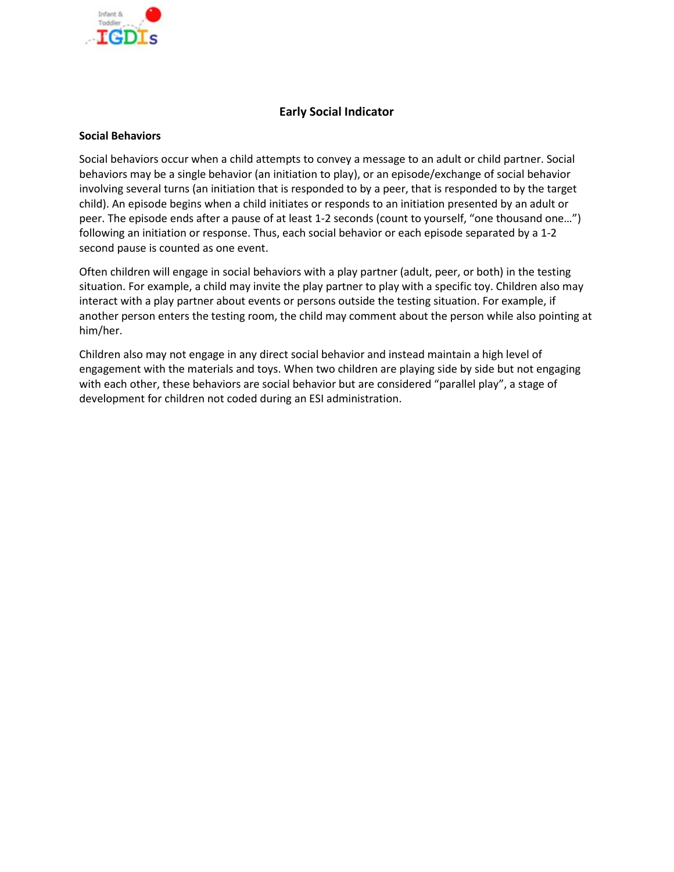

### **Early Social Indicator**

#### **Social Behaviors**

Social behaviors occur when a child attempts to convey a message to an adult or child partner. Social behaviors may be a single behavior (an initiation to play), or an episode/exchange of social behavior involving several turns (an initiation that is responded to by a peer, that is responded to by the target child). An episode begins when a child initiates or responds to an initiation presented by an adult or peer. The episode ends after a pause of at least 1-2 seconds (count to yourself, "one thousand one…") following an initiation or response. Thus, each social behavior or each episode separated by a 1-2 second pause is counted as one event.

Often children will engage in social behaviors with a play partner (adult, peer, or both) in the testing situation. For example, a child may invite the play partner to play with a specific toy. Children also may interact with a play partner about events or persons outside the testing situation. For example, if another person enters the testing room, the child may comment about the person while also pointing at him/her.

Children also may not engage in any direct social behavior and instead maintain a high level of engagement with the materials and toys. When two children are playing side by side but not engaging with each other, these behaviors are social behavior but are considered "parallel play", a stage of development for children not coded during an ESI administration.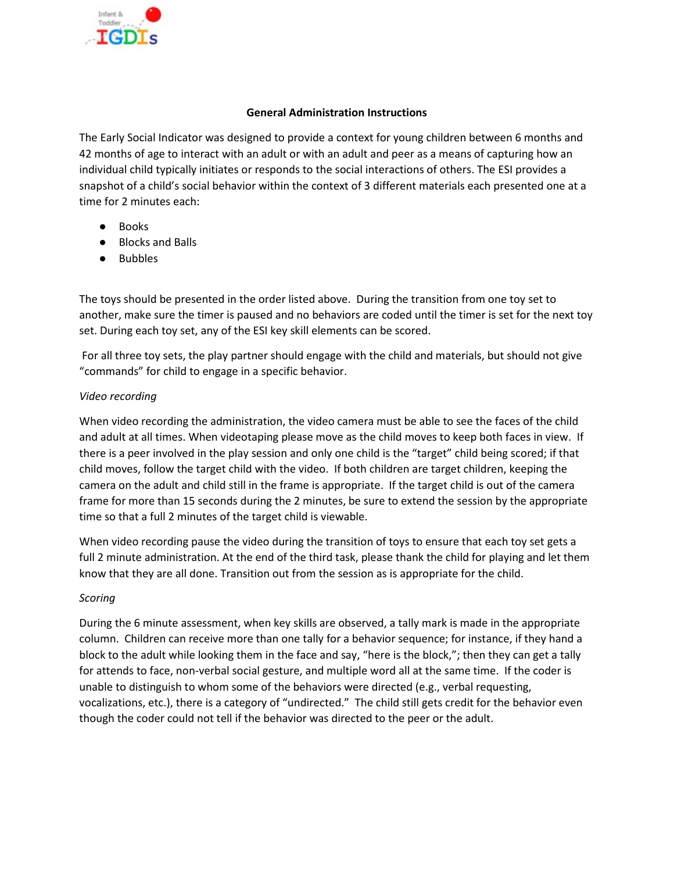

### **General Administration Instructions**

The Early Social Indicator was designed to provide a context for young children between 6 months and 42 months of age to interact with an adult or with an adult and peer as a means of capturing how an individual child typically initiates or responds to the social interactions of others. The ESI provides a snapshot of a child's social behavior within the context of 3 different materials each presented one at a time for 2 minutes each:

- Books
- Blocks and Balls
- Bubbles

The toys should be presented in the order listed above. During the transition from one toy set to another, make sure the timer is paused and no behaviors are coded until the timer is set for the next toy set. During each toy set, any of the ESI key skill elements can be scored.

For all three toy sets, the play partner should engage with the child and materials, but should not give "commands" for child to engage in a specific behavior.

### *Video recording*

When video recording the administration, the video camera must be able to see the faces of the child and adult at all times. When videotaping please move as the child moves to keep both faces in view. If there is a peer involved in the play session and only one child is the "target" child being scored; if that child moves, follow the target child with the video. If both children are target children, keeping the camera on the adult and child still in the frame is appropriate. If the target child is out of the camera frame for more than 15 seconds during the 2 minutes, be sure to extend the session by the appropriate time so that a full 2 minutes of the target child is viewable.

When video recording pause the video during the transition of toys to ensure that each toy set gets a full 2 minute administration. At the end of the third task, please thank the child for playing and let them know that they are all done. Transition out from the session as is appropriate for the child.

### *Scoring*

During the 6 minute assessment, when key skills are observed, a tally mark is made in the appropriate column. Children can receive more than one tally for a behavior sequence; for instance, if they hand a block to the adult while looking them in the face and say, "here is the block,"; then they can get a tally for attends to face, non-verbal social gesture, and multiple word all at the same time. If the coder is unable to distinguish to whom some of the behaviors were directed (e.g., verbal requesting, vocalizations, etc.), there is a category of "undirected." The child still gets credit for the behavior even though the coder could not tell if the behavior was directed to the peer or the adult.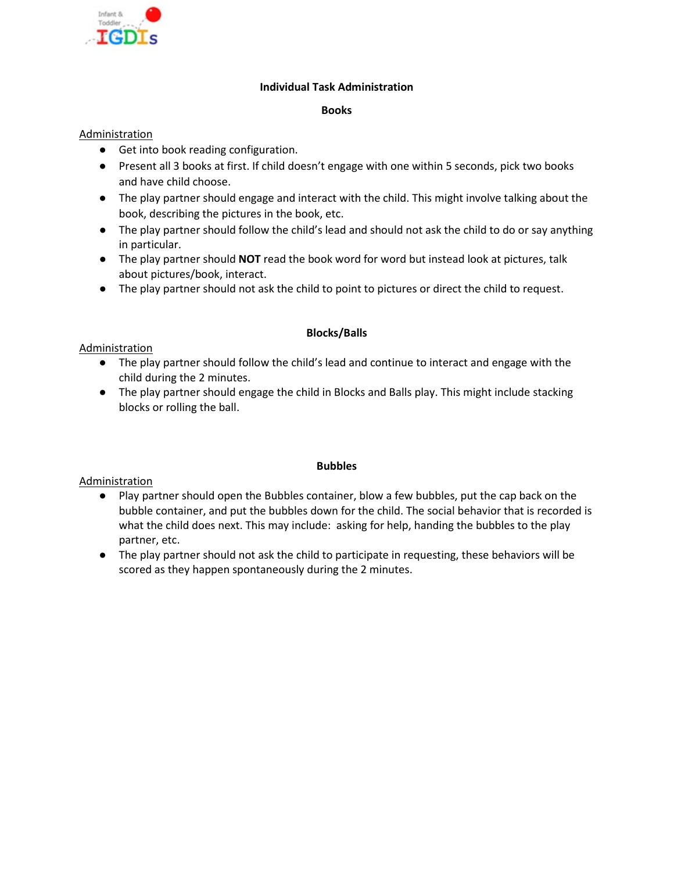

### **Individual Task Administration**

#### **Books**

### Administration

- Get into book reading configuration.
- Present all 3 books at first. If child doesn't engage with one within 5 seconds, pick two books and have child choose.
- The play partner should engage and interact with the child. This might involve talking about the book, describing the pictures in the book, etc.
- The play partner should follow the child's lead and should not ask the child to do or say anything in particular.
- The play partner should **NOT** read the book word for word but instead look at pictures, talk about pictures/book, interact.
- The play partner should not ask the child to point to pictures or direct the child to request.

### **Blocks/Balls**

### Administration

- The play partner should follow the child's lead and continue to interact and engage with the child during the 2 minutes.
- The play partner should engage the child in Blocks and Balls play. This might include stacking blocks or rolling the ball.

### **Bubbles**

### Administration

- Play partner should open the Bubbles container, blow a few bubbles, put the cap back on the bubble container, and put the bubbles down for the child. The social behavior that is recorded is what the child does next. This may include: asking for help, handing the bubbles to the play partner, etc.
- The play partner should not ask the child to participate in requesting, these behaviors will be scored as they happen spontaneously during the 2 minutes.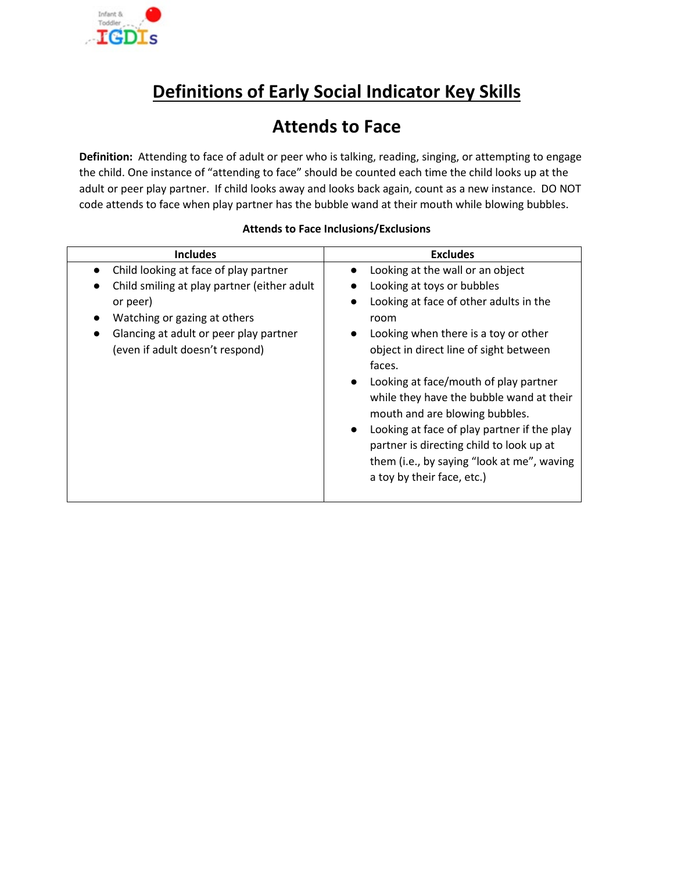

## **Definitions of Early Social Indicator Key Skills**

### **Attends to Face**

**Definition:** Attending to face of adult or peer who is talking, reading, singing, or attempting to engage the child. One instance of "attending to face" should be counted each time the child looks up at the adult or peer play partner. If child looks away and looks back again, count as a new instance. DO NOT code attends to face when play partner has the bubble wand at their mouth while blowing bubbles.

| <b>Includes</b>                                                                                                                                                                                               | <b>Excludes</b>                                                                                                                                                                                                                                                                                                                                                                                                                                                                                                                      |
|---------------------------------------------------------------------------------------------------------------------------------------------------------------------------------------------------------------|--------------------------------------------------------------------------------------------------------------------------------------------------------------------------------------------------------------------------------------------------------------------------------------------------------------------------------------------------------------------------------------------------------------------------------------------------------------------------------------------------------------------------------------|
| Child looking at face of play partner<br>Child smiling at play partner (either adult<br>or peer)<br>Watching or gazing at others<br>Glancing at adult or peer play partner<br>(even if adult doesn't respond) | Looking at the wall or an object<br>Looking at toys or bubbles<br>Looking at face of other adults in the<br>room<br>Looking when there is a toy or other<br>$\bullet$<br>object in direct line of sight between<br>faces.<br>Looking at face/mouth of play partner<br>$\bullet$<br>while they have the bubble wand at their<br>mouth and are blowing bubbles.<br>Looking at face of play partner if the play<br>partner is directing child to look up at<br>them (i.e., by saying "look at me", waving<br>a toy by their face, etc.) |

### **Attends to Face Inclusions/Exclusions**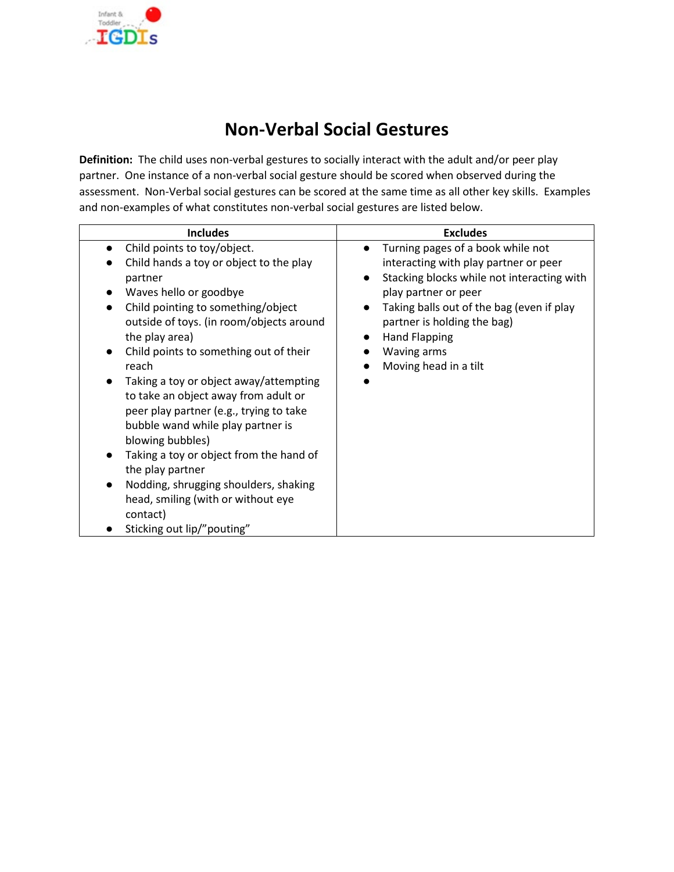

## **Non-Verbal Social Gestures**

**Definition:** The child uses non-verbal gestures to socially interact with the adult and/or peer play partner. One instance of a non-verbal social gesture should be scored when observed during the assessment. Non-Verbal social gestures can be scored at the same time as all other key skills. Examples and non-examples of what constitutes non-verbal social gestures are listed below.

| <b>Includes</b>                                                                                                                                                                                                                                                                                                                                                                                                                                                                                                                                                                                                                                  | <b>Excludes</b>                                                                                                                                                                                                                                                                                           |
|--------------------------------------------------------------------------------------------------------------------------------------------------------------------------------------------------------------------------------------------------------------------------------------------------------------------------------------------------------------------------------------------------------------------------------------------------------------------------------------------------------------------------------------------------------------------------------------------------------------------------------------------------|-----------------------------------------------------------------------------------------------------------------------------------------------------------------------------------------------------------------------------------------------------------------------------------------------------------|
| Child points to toy/object.<br>Child hands a toy or object to the play<br>partner<br>Waves hello or goodbye<br>Child pointing to something/object<br>outside of toys. (in room/objects around<br>the play area)<br>Child points to something out of their<br>reach<br>Taking a toy or object away/attempting<br>to take an object away from adult or<br>peer play partner (e.g., trying to take<br>bubble wand while play partner is<br>blowing bubbles)<br>Taking a toy or object from the hand of<br>the play partner<br>Nodding, shrugging shoulders, shaking<br>head, smiling (with or without eye<br>contact)<br>Sticking out lip/"pouting" | Turning pages of a book while not<br>$\bullet$<br>interacting with play partner or peer<br>Stacking blocks while not interacting with<br>play partner or peer<br>Taking balls out of the bag (even if play<br>partner is holding the bag)<br><b>Hand Flapping</b><br>Waving arms<br>Moving head in a tilt |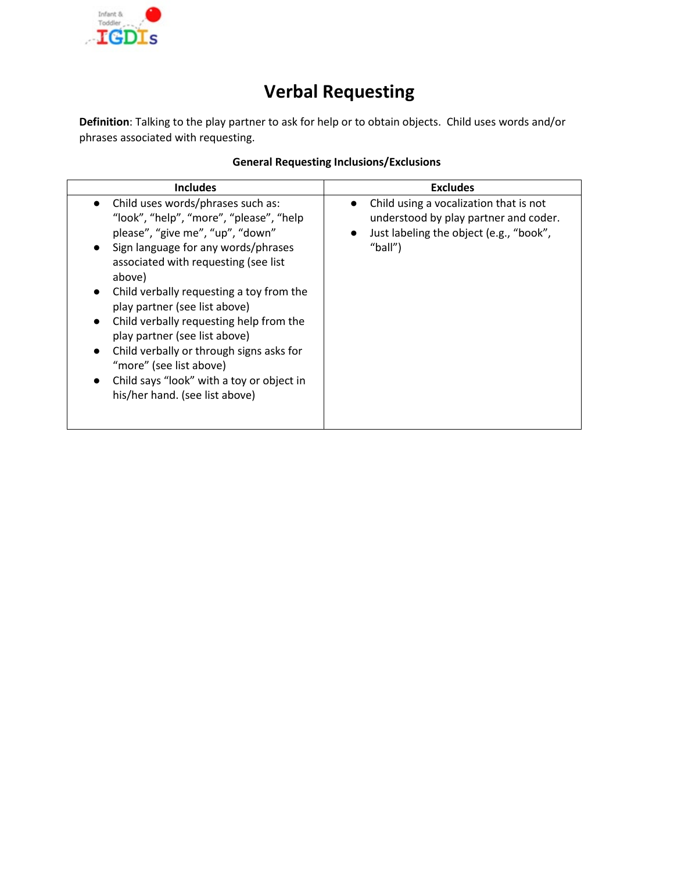

# **Verbal Requesting**

**Definition**: Talking to the play partner to ask for help or to obtain objects. Child uses words and/or phrases associated with requesting.

| <b>General Requesting Inclusions/Exclusions</b> |  |
|-------------------------------------------------|--|
|                                                 |  |

| <b>Includes</b>                                                                                                                                                                                                                                                                                                                                                                                                                                                                                                                                                                           | <b>Excludes</b>                                                                                                                                                 |
|-------------------------------------------------------------------------------------------------------------------------------------------------------------------------------------------------------------------------------------------------------------------------------------------------------------------------------------------------------------------------------------------------------------------------------------------------------------------------------------------------------------------------------------------------------------------------------------------|-----------------------------------------------------------------------------------------------------------------------------------------------------------------|
| Child uses words/phrases such as:<br>$\bullet$<br>"look", "help", "more", "please", "help<br>please", "give me", "up", "down"<br>Sign language for any words/phrases<br>associated with requesting (see list<br>above)<br>Child verbally requesting a toy from the<br>$\bullet$<br>play partner (see list above)<br>Child verbally requesting help from the<br>$\bullet$<br>play partner (see list above)<br>Child verbally or through signs asks for<br>$\bullet$<br>"more" (see list above)<br>Child says "look" with a toy or object in<br>$\bullet$<br>his/her hand. (see list above) | Child using a vocalization that is not<br>$\bullet$<br>understood by play partner and coder.<br>Just labeling the object (e.g., "book",<br>$\bullet$<br>"ball") |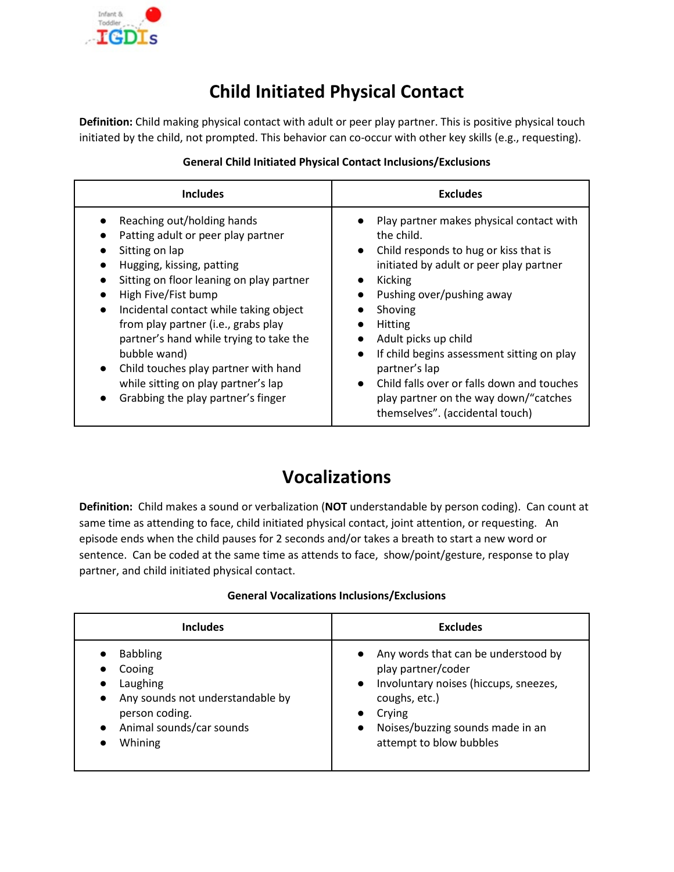

## **Child Initiated Physical Contact**

**Definition:** Child making physical contact with adult or peer play partner. This is positive physical touch initiated by the child, not prompted. This behavior can co-occur with other key skills (e.g., requesting).

| <b>Includes</b>                                                                                                                                                                                                                                                                                                                                                                                                                                                               | <b>Excludes</b>                                                                                                                                                                                                                                                                                                                                                                                                                                                                                         |
|-------------------------------------------------------------------------------------------------------------------------------------------------------------------------------------------------------------------------------------------------------------------------------------------------------------------------------------------------------------------------------------------------------------------------------------------------------------------------------|---------------------------------------------------------------------------------------------------------------------------------------------------------------------------------------------------------------------------------------------------------------------------------------------------------------------------------------------------------------------------------------------------------------------------------------------------------------------------------------------------------|
| Reaching out/holding hands<br>Patting adult or peer play partner<br>Sitting on lap<br>Hugging, kissing, patting<br>Sitting on floor leaning on play partner<br>High Five/Fist bump<br>Incidental contact while taking object<br>$\bullet$<br>from play partner (i.e., grabs play<br>partner's hand while trying to take the<br>bubble wand)<br>Child touches play partner with hand<br>$\bullet$<br>while sitting on play partner's lap<br>Grabbing the play partner's finger | Play partner makes physical contact with<br>the child.<br>Child responds to hug or kiss that is<br>$\bullet$<br>initiated by adult or peer play partner<br>Kicking<br>$\bullet$<br>Pushing over/pushing away<br>Shoving<br>$\bullet$<br>Hitting<br>Adult picks up child<br>$\bullet$<br>If child begins assessment sitting on play<br>$\bullet$<br>partner's lap<br>Child falls over or falls down and touches<br>$\bullet$<br>play partner on the way down/"catches<br>themselves". (accidental touch) |

### **General Child Initiated Physical Contact Inclusions/Exclusions**

### **Vocalizations**

**Definition:** Child makes a sound or verbalization (**NOT** understandable by person coding). Can count at same time as attending to face, child initiated physical contact, joint attention, or requesting. An episode ends when the child pauses for 2 seconds and/or takes a breath to start a new word or sentence. Can be coded at the same time as attends to face, show/point/gesture, response to play partner, and child initiated physical contact.

| Includes                                                                                                                                                     | <b>Excludes</b>                                                                                                                                                                                             |
|--------------------------------------------------------------------------------------------------------------------------------------------------------------|-------------------------------------------------------------------------------------------------------------------------------------------------------------------------------------------------------------|
| <b>Babbling</b><br>Cooing<br>Laughing<br>Any sounds not understandable by<br>$\bullet$<br>person coding.<br>Animal sounds/car sounds<br>$\bullet$<br>Whining | Any words that can be understood by<br>play partner/coder<br>• Involuntary noises (hiccups, sneezes,<br>coughs, etc.)<br>Crying<br>Noises/buzzing sounds made in an<br>$\bullet$<br>attempt to blow bubbles |

### **General Vocalizations Inclusions/Exclusions**